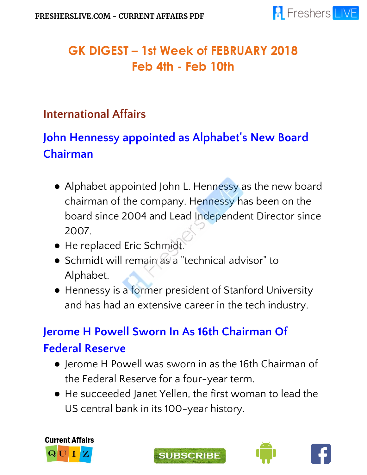

### **GK DIGEST – 1st Week of FEBRUARY 2018 Feb 4th - Feb 10th**

#### **International Affairs**

## **John Hennessy appointed as Alphabet' s New Board Chairman**

- Alphabet appointed John L. Hennessy as the new board chairman of the company. Hennessy has been on the board since 2004 and Lead Independent Director since 2007.
- He replaced Eric Schmidt.
- Schmidt will remain as a "technical advisor" to Alphabet.
- Hennessy is a former president of Stanford University and has had an extensive career in the tech industry.

### **Jerome H Powell Sworn In As 16th Chairman Of Federal Reserve**

- Jerome H Powell was sworn in as the 16th Chairman of the Federal Reserve for a four-year term.
- He succeeded Janet Yellen, the first woman to lead the US central bank in its 100-year history.







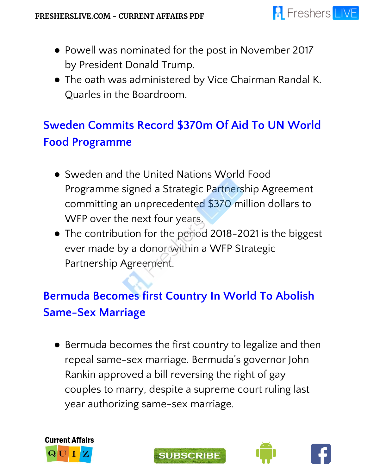

- Powell was nominated for the post in November 2017 by President Donald Trump.
- The oath was administered by Vice Chairman Randal K. Quarles in the Boardroom.

## **Sweden Commits Record \$370m Of Aid To UN World Food Programme**

- Sweden and the United Nations World Food Programme signed a Strategic Partnership Agreement committing an unprecedented \$370 million dollars to WFP over the next four years.
- The contribution for the period 2018-2021 is the biggest ever made by a donor within a WFP Strategic Partnership Agreement.

# **Bermuda Becomes first Country In World To Abolish Same-Sex Marriage**

● Bermuda becomes the first country to legalize and then repeal same-sex marriage. Bermuda's governor John Rankin approved a bill reversing the right of gay couples to marry, despite a supreme court ruling last year authorizing same-sex marriage.







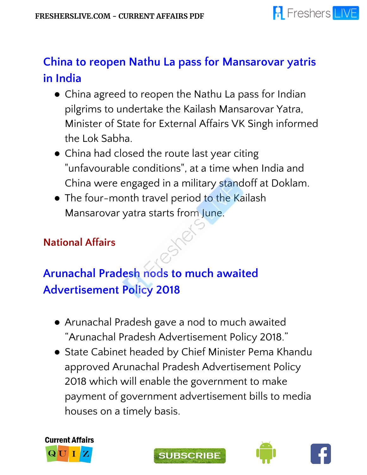

### **China to reopen Nathu La pass for Mansarovar yatris in India**

- China agreed to reopen the Nathu La pass for Indian pilgrims to undertake the Kailash Mansarovar Yatra, Minister of State for External Affairs VK Singh informed the Lok Sabha.
- China had closed the route last year citing "unfavourable conditions", at a time when India and China were engaged in a military standoff at Doklam.
- The four-month travel period to the Kailash Mansarovar yatra starts from June.

#### **National Affairs**

## **Arunachal Pradesh nods to much awaited Advertisement Policy 2018**

- Arunachal Pradesh gave a nod to much awaited "Arunachal Pradesh Advertisement Policy 2018."
- State Cabinet headed by Chief Minister Pema Khandu approved Arunachal Pradesh Advertisement Policy 2018 which will enable the government to make payment of government advertisement bills to media houses on a timely basis.







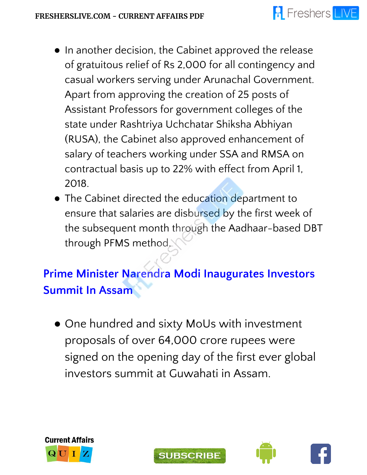- In another decision, the Cabinet approved the release of gratuitous relief of Rs 2,000 for all contingency and casual workers serving under Arunachal Government. Apart from approving the creation of 25 posts of Assistant Professors for government colleges of the state under Rashtriya Uchchatar Shiksha Abhiyan (RUSA), the Cabinet also approved enhancement of salary of teachers working under SSA and RMSA on contractual basis up to 22% with effect from April 1, 2018.
- The Cabinet directed the education department to ensure that salaries are disbursed by the first week of the subsequent month through the Aadhaar-based DBT through PFMS method.

**Prime Minister Narendra Modi Inaugurates Investors Summit In Assam**

• One hundred and sixty MoUs with investment proposals of over 64,000 crore rupees were signed on the opening day of the first ever global investors summit at Guwahati in Assam.







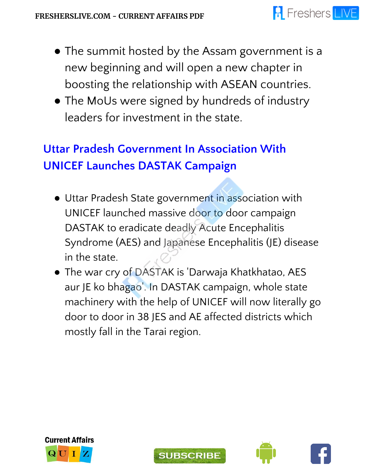- The summit hosted by the Assam government is a new beginning and will open a new chapter in boosting the relationship with ASEAN countries.
- The MoUs were signed by hundreds of industry leaders for investment in the state.

## **Uttar Pradesh Government In Association With UNICEF Launches DASTAK Campaign**

- Uttar Pradesh State government in association with UNICEF launched massive door to door campaign DASTAK to eradicate deadly Acute Encephalitis Syndrome (AES) and Japanese Encephalitis (JE) disease in the state.
- The war cry of DASTAK is 'Darwaja Khatkhatao, AES aur JE ko bhagao'. In DASTAK campaign, whole state machinery with the help of UNICEF will now literally go door to door in 38 JES and AE affected districts which mostly fall in the Tarai region.







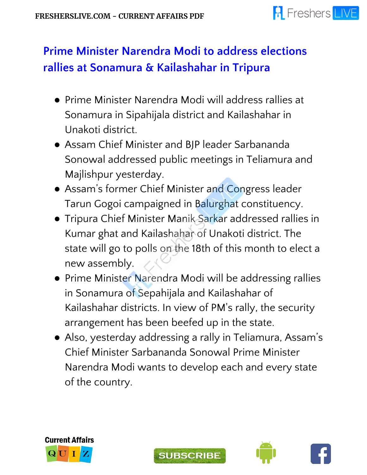

### **Prime Minister Narendra Modi to address elections rallies at Sonamura & Kailashahar in Tripura**

- Prime Minister Narendra Modi will address rallies at Sonamura in Sipahijala district and Kailashahar in Unakoti district.
- Assam Chief Minister and BJP leader Sarbananda Sonowal addressed public meetings in Teliamura and Majlishpur yesterday.
- Assam's former Chief Minister and Congress leader Tarun Gogoi campaigned in Balurghat constituency.
- Tripura Chief Minister Manik Sarkar addressed rallies in Kumar ghat and Kailashahar of Unakoti district. The state will go to polls on the 18th of this month to elect a new assembly.
- Prime Minister Narendra Modi will be addressing rallies in Sonamura of Sepahijala and Kailashahar of Kailashahar districts. In view of PM's rally, the security arrangement has been beefed up in the state.
- Also, yesterday addressing a rally in Teliamura, Assam's Chief Minister Sarbananda Sonowal Prime Minister Narendra Modi wants to develop each and every state of the country.







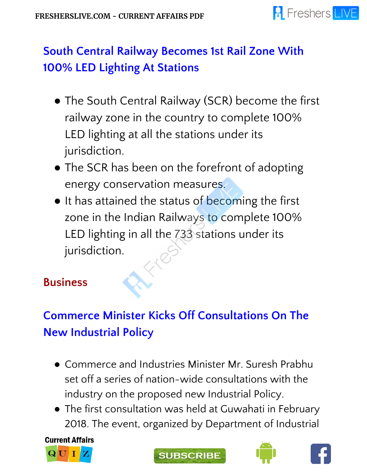

### **South Central Railway Becomes 1st Rail Zone With 100% LED Lighting At Stations**

- The South Central Railway (SCR) become the first railway zone in the country to complete 100% LED lighting at all the stations under its jurisdiction.
- The SCR has been on the forefront of adopting energy conservation measures.
- It has attained the status of becoming the first zone in the Indian Railways to complete 100% LED lighting in all the 733 stations under its jurisdiction.

#### **Business**

# **Commerce Minister Kicks Off Consultations On The New Industrial Policy**

- Commerce and Industries Minister Mr. Suresh Prabhu set off a series of nation-wide consultations with the industry on the proposed new Industrial Policy.
- The first consultation was held at Guwahati in February 2018. The event, organized by Department of Industrial

**Current Affairs** 







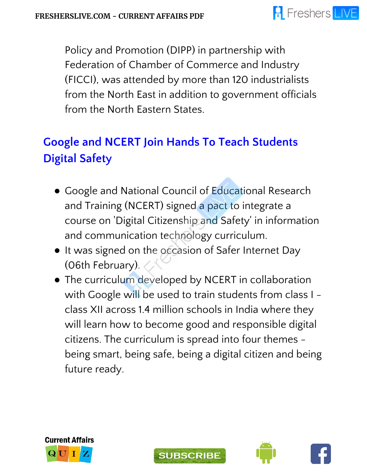### **A** Freshers LIVE

Policy and Promotion (DIPP) in partnership with Federation of Chamber of Commerce and Industry (FICCI), was attended by more than 120 industrialists from the North East in addition to government officials from the North Eastern States.

## **Google and NCERT Join Hands To Teach Students Digital Safety**

- Google and National Council of Educational Research and Training (NCERT) signed a pact to integrate a course on 'Digital Citizenship and Safety' in information and communication technology curriculum.
- It was signed on the occasion of Safer Internet Day (06th February).
- The curriculum developed by NCERT in collaboration with Google will be used to train students from class I class XII across 1.4 million schools in India where they will learn how to become good and responsible digital citizens. The curriculum is spread into four themes being smart, being safe, being a digital citizen and being future ready.







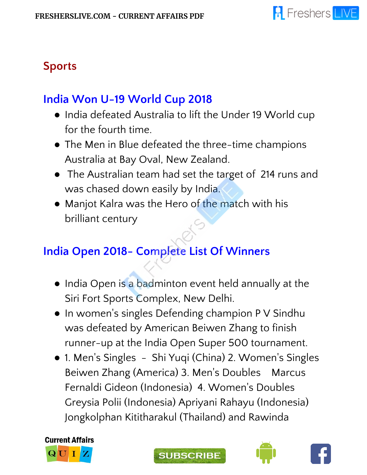### **Sports**

### **India Won U-19 World Cup 2018**

- India defeated Australia to lift the Under 19 World cup for the fourth time.
- The Men in Blue defeated the three-time champions Australia at Bay Oval, New Zealand.
- The Australian team had set the target of 214 runs and was chased down easily by India.
- Manjot Kalra was the Hero of the match with his brilliant century

### **India Open 2018- Complete List Of Winners**

- India Open is a badminton event held annually at the Siri Fort Sports Complex, New Delhi.
- In women's singles Defending champion P V Sindhu was defeated by American Beiwen Zhang to finish runner-up at the India Open Super 500 tournament.
- 1. Men's Singles Shi Yuqi (China) 2. Women's Singles Beiwen Zhang (America) 3. Men's Doubles Marcus Fernaldi Gideon (Indonesia) 4. Women's Doubles Greysia Polii (Indonesia) Apriyani Rahayu (Indonesia) Jongkolphan Kititharakul (Thailand) and Rawinda







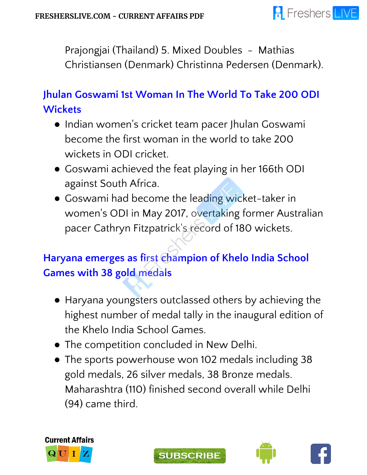

Prajongjai (Thailand) 5. Mixed Doubles - Mathias Christiansen (Denmark) Christinna Pedersen (Denmark).

#### **Jhulan Goswami 1st Woman In The World To Take 200 ODI Wickets**

- Indian women's cricket team pacer Jhulan Goswami become the first woman in the world to take 200 wickets in ODI cricket.
- Goswami achieved the feat playing in her 166th ODI against South Africa.
- Goswami had become the leading wicket-taker in women's ODI in May 2017, overtaking former Australian pacer Cathryn Fitzpatrick's record of 180 wickets.

#### **Haryana emerges as first champion of Khelo India School Games with 38 gold medals**

- Haryana youngsters outclassed others by achieving the highest number of medal tally in the inaugural edition of the Khelo India School Games.
- The competition concluded in New Delhi.
- The sports powerhouse won 102 medals including 38 gold medals, 26 silver medals, 38 Bronze medals. Maharashtra (110) finished second overall while Delhi (94) came third.







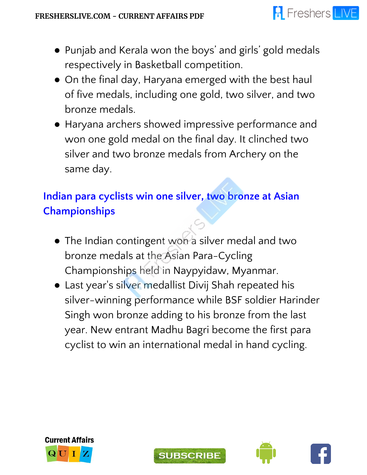- Punjab and Kerala won the boys' and girls' gold medals respectively in Basketball competition.
- On the final day, Haryana emerged with the best haul of five medals, including one gold, two silver, and two bronze medals.
- Haryana archers showed impressive performance and won one gold medal on the final day. It clinched two silver and two bronze medals from Archery on the same day.

#### **Indian para cyclists win one silver, two bronze at Asian Championships**

- The Indian contingent won a silver medal and two bronze medals at the Asian Para-Cycling Championships held in Naypyidaw, Myanmar.
- Last year's silver medallist Divij Shah repeated his silver-winning performance while BSF soldier Harinder Singh won bronze adding to his bronze from the last year. New entrant Madhu Bagri become the first para cyclist to win an international medal in hand cycling.







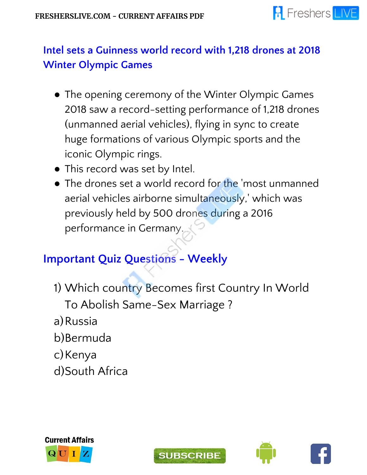

#### **Intel sets a Guinness world record with 1,218 drones at 2018 Winter Olympic Games**

- The opening ceremony of the Winter Olympic Games 2018 saw a record-setting performance of 1,218 drones (unmanned aerial vehicles), flying in sync to create huge formations of various Olympic sports and the iconic Olympic rings.
- This record was set by Intel.
- The drones set a world record for the 'most unmanned aerial vehicles airborne simultaneously,' which was previously held by 500 drones during a 2016 performance in Germany.

#### **Important Quiz Questions - Weekly**

- 1) Which country Becomes first Country In World To Abolish Same-Sex Marriage ?
- a)Russia
- b)Bermuda
- c) Kenya
- d)South Africa







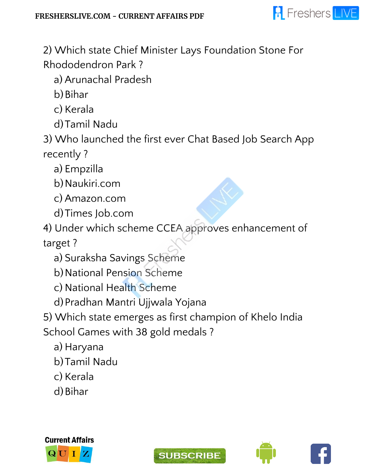

2) Which state Chief Minister Lays Foundation Stone For Rhododendron Park ?

a) Arunachal Pradesh

b) Bihar

c) Kerala

d)Tamil Nadu

3) Who launched the first ever Chat Based Job Search App recently ?

a) Empzilla

b)Naukiri.com

c) Amazon.com

d)Times Job.com

4) Under which scheme CCEA approves enhancement of target ?

a) Suraksha Savings Scheme

b)National Pension Scheme

c) National Health Scheme

d)Pradhan Mantri Ujjwala Yojana

5) Which state emerges as first champion of Khelo India

School Games with 38 gold medals ?

a) Haryana

b)Tamil Nadu

c) Kerala

d) Bihar





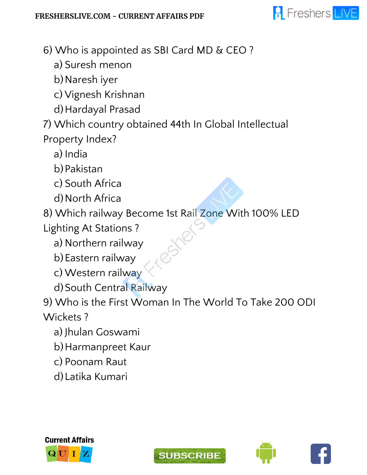

- 6) Who is appointed as SBI Card MD & CEO ?
	- a) Suresh menon
	- b)Naresh iyer
	- c) Vignesh Krishnan
	- d)Hardayal Prasad
- 7) Which country obtained 44th In Global Intellectual Property Index?
	- a) India
	- b)Pakistan
	- c) South Africa
	- d)North Africa
- 8) Which railway Become 1st Rail Zone With 100% LED
- Lighting At Stations ?
	- a) Northern railway
	- b)Eastern railway
	- c) Western railway
	- d) South Central Railway
- 9) Who is the First Woman In The World To Take 200 ODI Wickets ?
	- a) Jhulan Goswami
	- b)Harmanpreet Kaur
	- c) Poonam Raut
	- d)Latika Kumari









**A** Freshers LIVE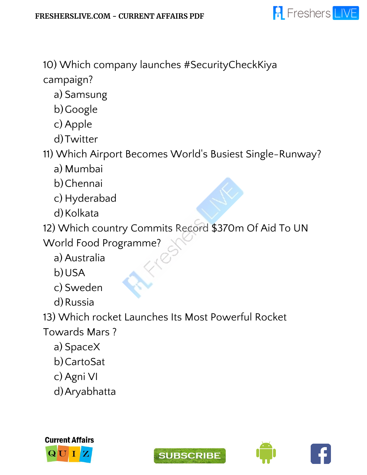

10) Which company launches #SecurityCheckKiya campaign?

a) Samsung

b)Google

c) Apple

d)Twitter

11) Which Airport Becomes World's Busiest Single-Runway?

- a) Mumbai
- b)Chennai
- c) Hyderabad
- d) Kolkata

12) Which country Commits Record \$370m Of Aid To UN

World Food Programme?

a) Australia

b)USA

c) Sweden

d)Russia

13) Which rocket Launches Its Most Powerful Rocket

Towards Mars ?

a) SpaceX

b)CartoSat

c) Agni VI

d)Aryabhatta







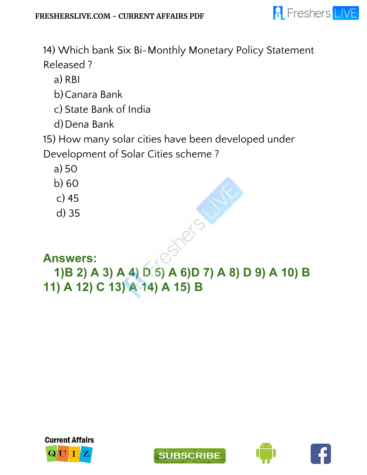

14) Which bank Six Bi-Monthly Monetary Policy Statement Released ?

a) RBI

b)Canara Bank

c) State Bank of India

d) Dena Bank

15) How many solar cities have been developed under

Development of Solar Cities scheme ?

- a) 50
- b) 60
- c) 45
- d) 35

#### **Answers:**

### **1)B 2) A 3) A 4) D 5) A 6)D 7) A 8) D 9) A 10) B 11) A 12) C 13) A 14) A 15) B**

3510-5